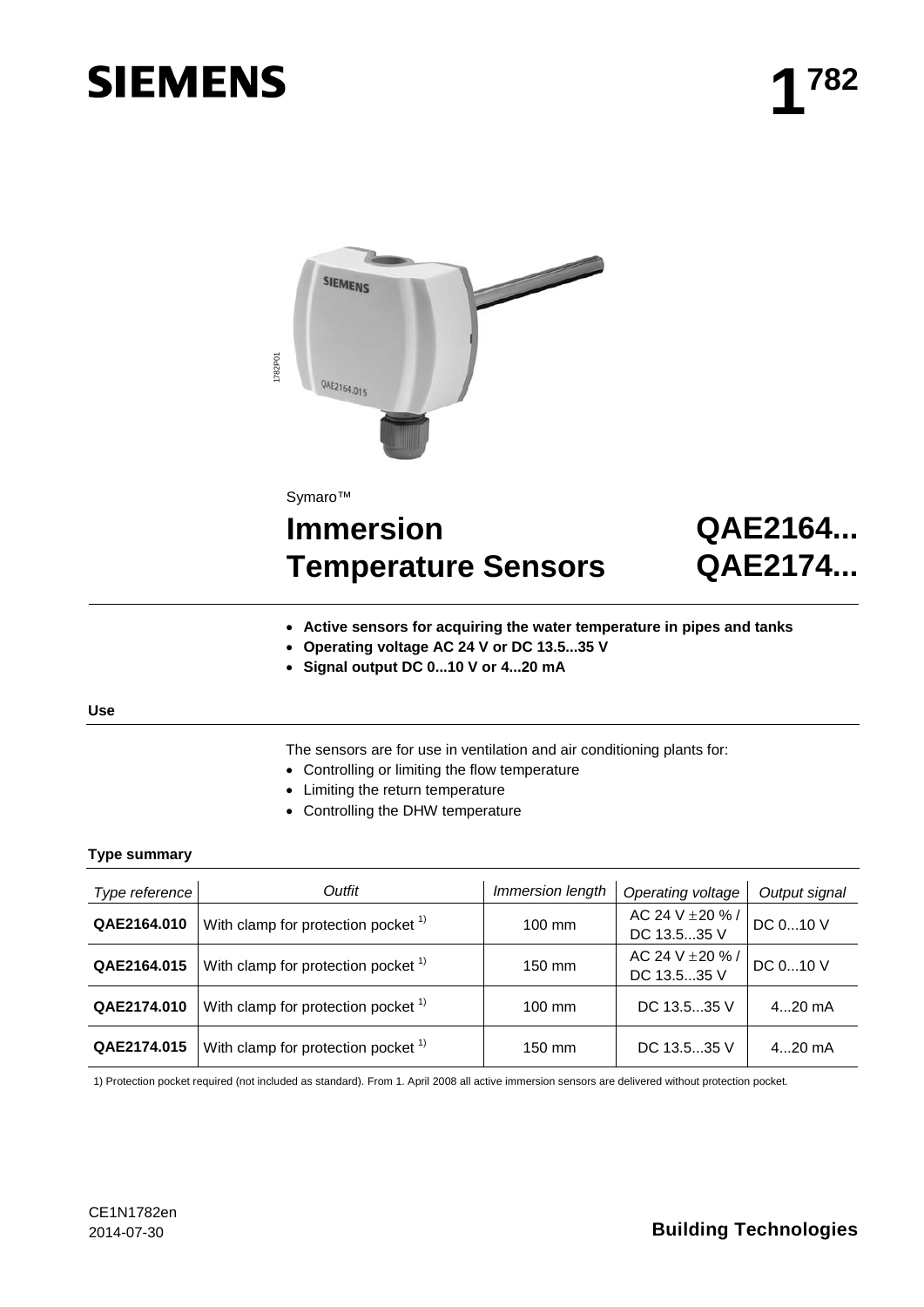# **SIEMENS**



# **Immersion Temperature Sensors**

# **QAE2164... QAE2174...**

- **Active sensors for acquiring the water temperature in pipes and tanks**
- **Operating voltage AC 24 V or DC 13.5...35 V**
- **Signal output DC 0...10 V or 4...20 mA**

#### **Use**

- The sensors are for use in ventilation and air conditioning plants for:
- Controlling or limiting the flow temperature
- Limiting the return temperature
- Controlling the DHW temperature

# **Type summary**

|                     | 1782P0 <sup>-</sup><br>QAE2164.015                                                                                                                                                            |                  |                                 |                |
|---------------------|-----------------------------------------------------------------------------------------------------------------------------------------------------------------------------------------------|------------------|---------------------------------|----------------|
|                     | Symaro™<br><b>Immersion</b>                                                                                                                                                                   |                  |                                 | <b>QAE2164</b> |
|                     | <b>Temperature Sensors</b>                                                                                                                                                                    |                  | QAE2174                         |                |
| <b>Use</b>          | Active sensors for acquiring the water temperature in pipes and tanks<br>Operating voltage AC 24 V or DC 13.535 V<br>Signal output DC 010 V or 420 mA                                         |                  |                                 |                |
| <b>Type summary</b> | The sensors are for use in ventilation and air conditioning plants for:<br>Controlling or limiting the flow temperature<br>Limiting the return temperature<br>Controlling the DHW temperature |                  |                                 |                |
| Type reference      | Outfit                                                                                                                                                                                        | Immersion length | Operating voltage               | Output signal  |
| QAE2164.010         | With clamp for protection pocket <sup>1)</sup>                                                                                                                                                | 100 mm           | AC 24 V ± 20 % /<br>DC 13.535 V | DC 010 V       |
| QAE2164.015         | With clamp for protection pocket <sup>1)</sup>                                                                                                                                                | 150 mm           | AC 24 V ± 20 % /<br>DC 13.535 V | DC 010 V       |
| QAE2174.010         | With clamp for protection pocket <sup>1)</sup>                                                                                                                                                | 100 mm           | DC 13.535 V                     | 420 mA         |
| QAE2174.015         | With clamp for protection pocket <sup>1)</sup>                                                                                                                                                | 150 mm           | DC 13.535 V                     | 420 mA         |
|                     | 1) Protection pocket required (not included as standard). From 1. April 2008 all active immersion sensors are delivered without protection pocket.                                            |                  |                                 |                |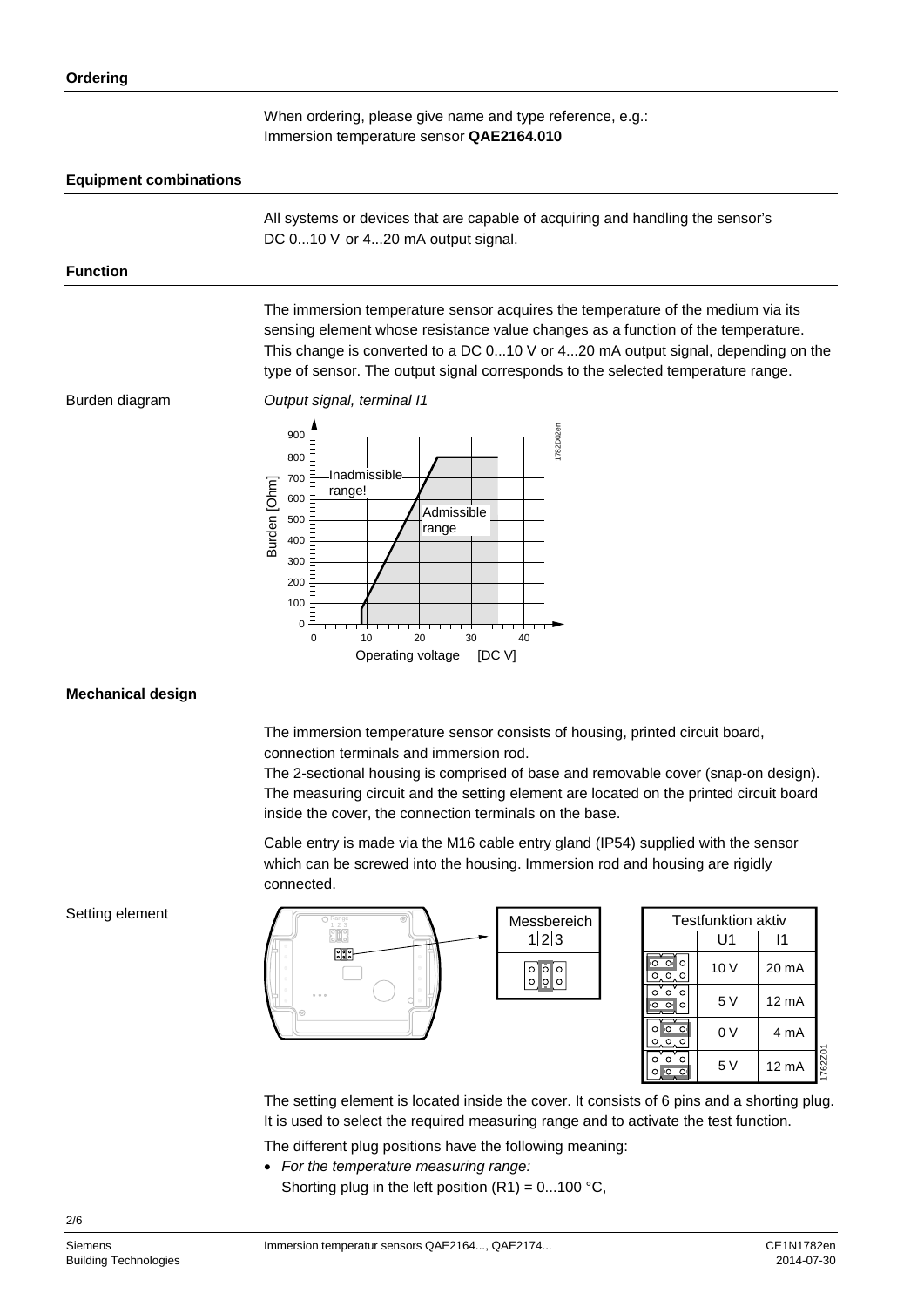When ordering, please give name and type reference, e.g.: Immersion temperature sensor **QAE2164.010**

### **Equipment combinations**

All systems or devices that are capable of acquiring and handling the sensor's DC 0...10 V or 4...20 mA output signal.

#### **Function**

The immersion temperature sensor acquires the temperature of the medium via its sensing element whose resistance value changes as a function of the temperature. This change is converted to a DC 0...10 V or 4...20 mA output signal, depending on the type of sensor. The output signal corresponds to the selected temperature range.

Burden diagram

*Output signal, terminal I1*



#### **Mechanical design**

The immersion temperature sensor consists of housing, printed circuit board, connection terminals and immersion rod.

The 2-sectional housing is comprised of base and removable cover (snap-on design). The measuring circuit and the setting element are located on the printed circuit board inside the cover, the connection terminals on the base.

Cable entry is made via the M16 cable entry gland (IP54) supplied with the sensor which can be screwed into the housing. Immersion rod and housing are rigidly connected.

Setting element



| <b>Testfunktion aktiv</b>                           |      |                   |         |
|-----------------------------------------------------|------|-------------------|---------|
|                                                     | U1   | 11                |         |
| $\circ$<br>O<br>Ō.<br>O<br>$\circ$<br>Ο             | 10 V | 20 mA             |         |
| $\circ$<br>O<br>O<br>$\Omega$<br>$\circ$<br>$\circ$ | 5V   | 12 <sub>m</sub> A |         |
| $\circ$<br>.o<br>Ō<br>$\circ$<br>$\circ$<br>0       | 0 V  | 4 mA              |         |
| o<br>ი<br>Λ<br>Ω                                    | 5V   | 12 <sub>m</sub> A | 1762Z01 |

The setting element is located inside the cover. It consists of 6 pins and a shorting plug. It is used to select the required measuring range and to activate the test function.

The different plug positions have the following meaning:

- *For the temperature measuring range:*
- Shorting plug in the left position  $(R1) = 0...100$  °C,

2/6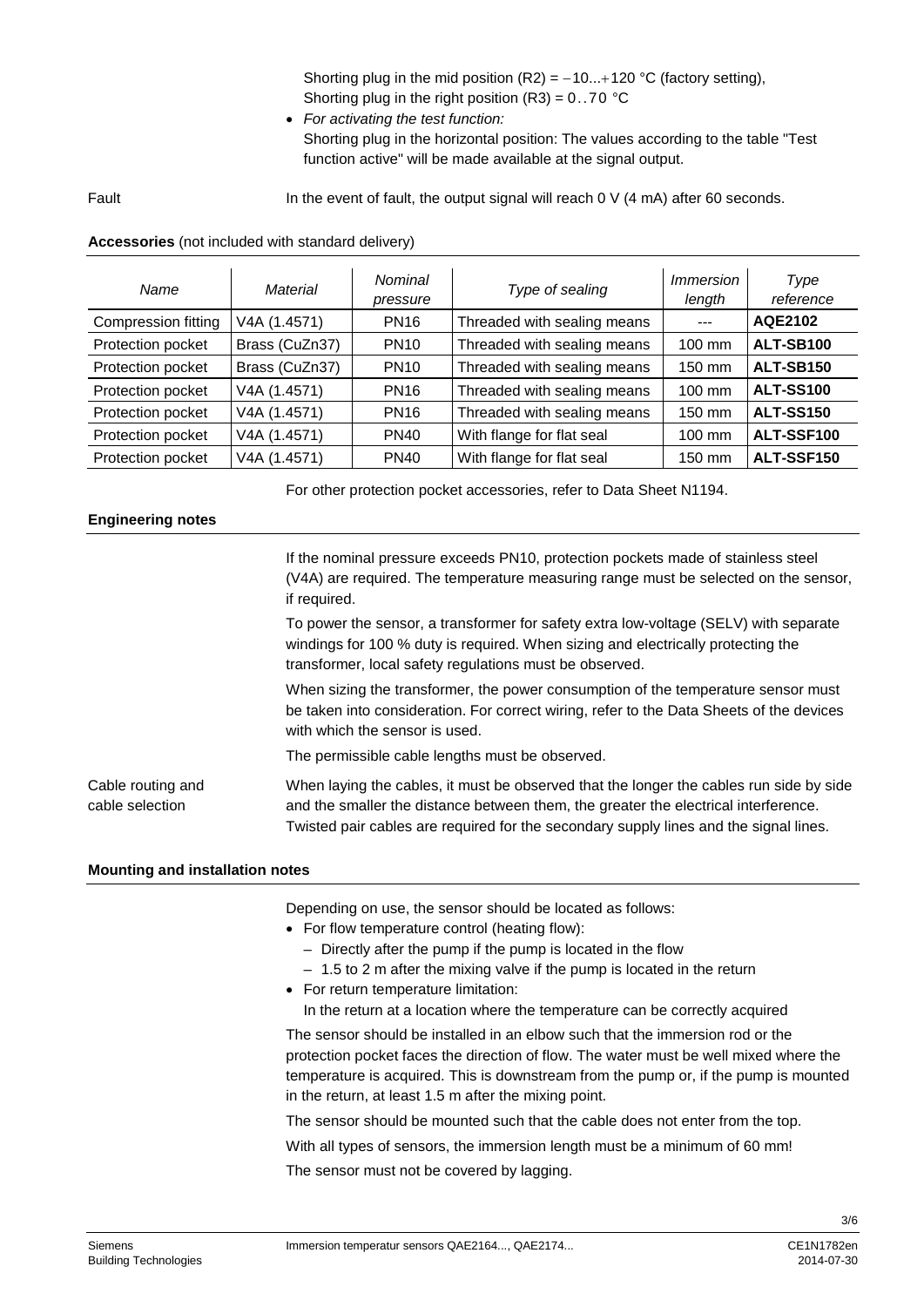Shorting plug in the mid position  $(R2) = -10...+120$  °C (factory setting), Shorting plug in the right position  $(R3) = 0.70$  °C

• *For activating the test function:*  Shorting plug in the horizontal position: The values according to the table "Test function active" will be made available at the signal output.

Fault

In the event of fault, the output signal will reach 0 V (4 mA) after 60 seconds.

### **Accessories** (not included with standard delivery)

| Name                | Material       | Nominal<br>pressure | Type of sealing             | <i>Immersion</i><br>length | Type<br>reference |
|---------------------|----------------|---------------------|-----------------------------|----------------------------|-------------------|
| Compression fitting | V4A (1.4571)   | <b>PN16</b>         | Threaded with sealing means | $- - -$                    | AQE2102           |
| Protection pocket   | Brass (CuZn37) | <b>PN10</b>         | Threaded with sealing means | 100 mm                     | ALT-SB100         |
| Protection pocket   | Brass (CuZn37) | <b>PN10</b>         | Threaded with sealing means | 150 mm                     | <b>ALT-SB150</b>  |
| Protection pocket   | V4A (1.4571)   | <b>PN16</b>         | Threaded with sealing means | 100 mm                     | <b>ALT-SS100</b>  |
| Protection pocket   | V4A (1.4571)   | <b>PN16</b>         | Threaded with sealing means | 150 mm                     | <b>ALT-SS150</b>  |
| Protection pocket   | V4A (1.4571)   | <b>PN40</b>         | With flange for flat seal   | $100 \text{ mm}$           | ALT-SSF100        |
| Protection pocket   | V4A (1.4571)   | <b>PN40</b>         | With flange for flat seal   | 150 mm                     | ALT-SSF150        |

For other protection pocket accessories, refer to Data Sheet N1194.

# **Engineering notes**

If the nominal pressure exceeds PN10, protection pockets made of stainless steel (V4A) are required. The temperature measuring range must be selected on the sensor, if required.

To power the sensor, a transformer for safety extra low-voltage (SELV) with separate windings for 100 % duty is required. When sizing and electrically protecting the transformer, local safety regulations must be observed.

When sizing the transformer, the power consumption of the temperature sensor must be taken into consideration. For correct wiring, refer to the Data Sheets of the devices with which the sensor is used.

The permissible cable lengths must be observed.

When laying the cables, it must be observed that the longer the cables run side by side and the smaller the distance between them, the greater the electrical interference. Twisted pair cables are required for the secondary supply lines and the signal lines. Cable routing and cable selection

# **Mounting and installation notes**

Depending on use, the sensor should be located as follows:

- For flow temperature control (heating flow):
	- Directly after the pump if the pump is located in the flow
	- 1.5 to 2 m after the mixing valve if the pump is located in the return
- For return temperature limitation:

In the return at a location where the temperature can be correctly acquired

The sensor should be installed in an elbow such that the immersion rod or the protection pocket faces the direction of flow. The water must be well mixed where the temperature is acquired. This is downstream from the pump or, if the pump is mounted in the return, at least 1.5 m after the mixing point.

The sensor should be mounted such that the cable does not enter from the top. With all types of sensors, the immersion length must be a minimum of 60 mm! The sensor must not be covered by lagging.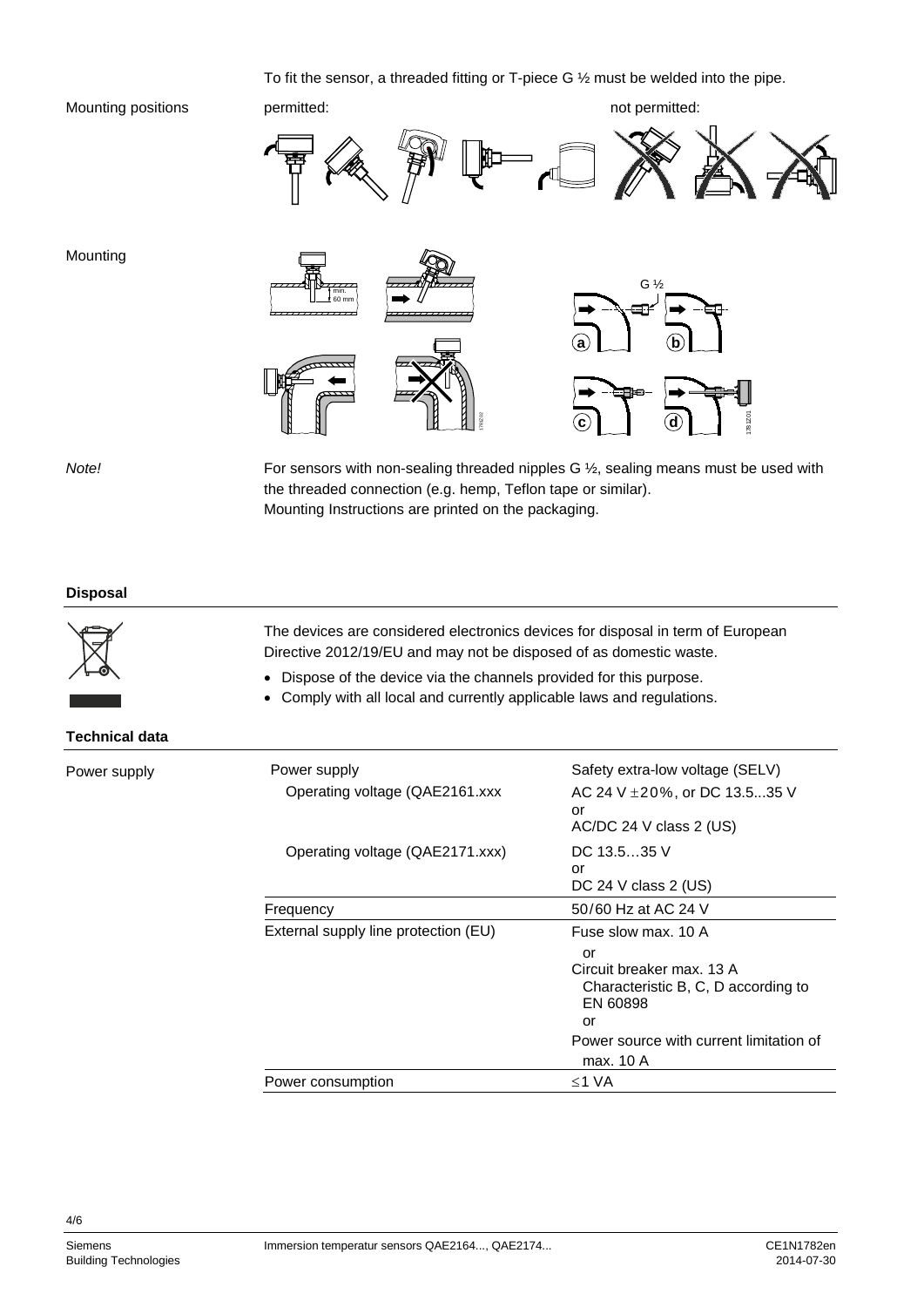#### To fit the sensor, a threaded fitting or T-piece G ½ must be welded into the pipe.

#### Mounting positions



*Note!*

Mounting

For sensors with non-sealing threaded nipples G ½, sealing means must be used with the threaded connection (e.g. hemp, Teflon tape or similar). Mounting Instructions are printed on the packaging.

#### **Disposal**



The devices are considered electronics devices for disposal in term of European Directive 2012/19/EU and may not be disposed of as domestic waste.

- Dispose of the device via the channels provided for this purpose.
- Comply with all local and currently applicable laws and regulations.

#### **Technical data**

Power supply

| Power supply<br>Operating voltage (QAE2161.xxx) | Safety extra-low voltage (SELV)<br>AC 24 V $\pm$ 20%, or DC 13.535 V<br>or<br>$AC/DC$ 24 V class 2 (US)                                                                 |
|-------------------------------------------------|-------------------------------------------------------------------------------------------------------------------------------------------------------------------------|
| Operating voltage (QAE2171.xxx)                 | DC 13.535 V<br>or<br>DC 24 V class $2$ (US)                                                                                                                             |
| Frequency                                       | 50/60 Hz at AC 24 V                                                                                                                                                     |
| External supply line protection (EU)            | Fuse slow max, 10 A<br>or<br>Circuit breaker max. 13 A<br>Characteristic B, C, D according to<br>EN 60898<br>or<br>Power source with current limitation of<br>max. 10 A |
| Power consumption                               | ≤1 VA                                                                                                                                                                   |

4/6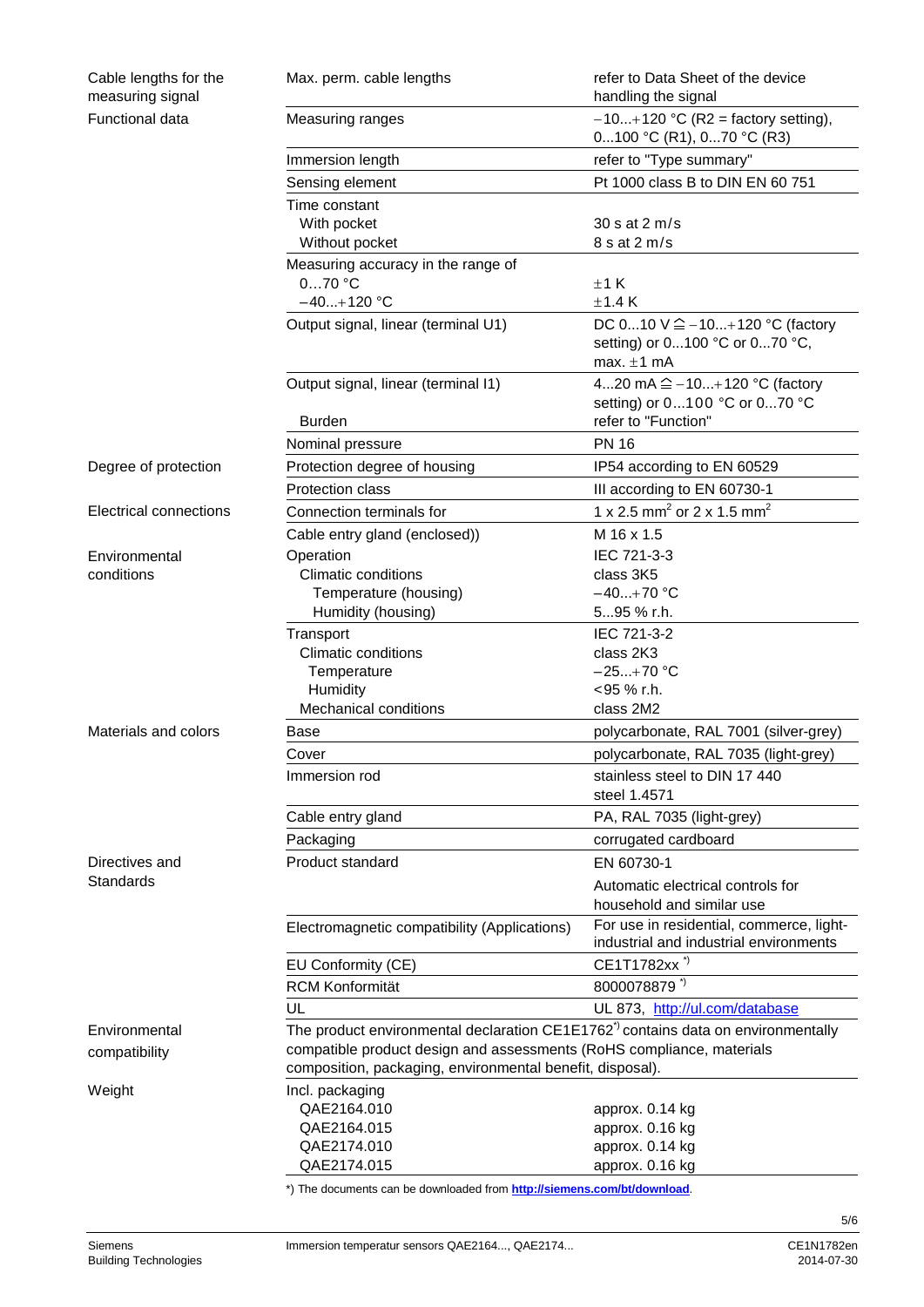| Cable lengths for the<br>measuring signal | Max. perm. cable lengths                                                                                                           | refer to Data Sheet of the device<br>handling the signal                                              |  |
|-------------------------------------------|------------------------------------------------------------------------------------------------------------------------------------|-------------------------------------------------------------------------------------------------------|--|
| Functional data                           | Measuring ranges                                                                                                                   | $-10+120$ °C (R2 = factory setting),<br>0100 °C (R1), 070 °C (R3)                                     |  |
|                                           | Immersion length                                                                                                                   | refer to "Type summary"                                                                               |  |
|                                           | Sensing element                                                                                                                    | Pt 1000 class B to DIN EN 60 751                                                                      |  |
|                                           | Time constant                                                                                                                      |                                                                                                       |  |
|                                           | With pocket                                                                                                                        | 30 s at 2 m/s                                                                                         |  |
|                                           | Without pocket                                                                                                                     | 8 s at 2 m/s                                                                                          |  |
|                                           | Measuring accuracy in the range of<br>$070$ °C                                                                                     | ±1 K                                                                                                  |  |
|                                           | $-40+120$ °C                                                                                                                       | ±1.4K                                                                                                 |  |
|                                           | Output signal, linear (terminal U1)                                                                                                | DC $010 \vee \hat{=} -10+120 \degree C$ (factory<br>setting) or 0100 °C or 070 °C,<br>max. $\pm 1$ mA |  |
|                                           | Output signal, linear (terminal I1)                                                                                                | 420 mA $\hat{=}$ -10+120 °C (factory<br>setting) or 0100 °C or 070 °C                                 |  |
|                                           | <b>Burden</b>                                                                                                                      | refer to "Function"                                                                                   |  |
|                                           | Nominal pressure                                                                                                                   | <b>PN 16</b>                                                                                          |  |
| Degree of protection                      | Protection degree of housing                                                                                                       | IP54 according to EN 60529                                                                            |  |
|                                           | <b>Protection class</b>                                                                                                            | III according to EN 60730-1                                                                           |  |
| <b>Electrical connections</b>             | Connection terminals for                                                                                                           | 1 x 2.5 mm <sup>2</sup> or 2 x 1.5 mm <sup>2</sup>                                                    |  |
|                                           | Cable entry gland (enclosed))                                                                                                      | M 16 x 1.5                                                                                            |  |
| Environmental                             | Operation                                                                                                                          | IEC 721-3-3                                                                                           |  |
| conditions                                | <b>Climatic conditions</b>                                                                                                         | class 3K5                                                                                             |  |
|                                           | Temperature (housing)                                                                                                              | $-40+70$ °C                                                                                           |  |
|                                           | Humidity (housing)                                                                                                                 | 595 % r.h.                                                                                            |  |
|                                           | Transport                                                                                                                          | IEC 721-3-2                                                                                           |  |
|                                           | <b>Climatic conditions</b>                                                                                                         | class 2K3                                                                                             |  |
|                                           | Temperature                                                                                                                        | $-25+70$ °C                                                                                           |  |
|                                           | Humidity                                                                                                                           | <95 % r.h.                                                                                            |  |
|                                           | Mechanical conditions                                                                                                              | class 2M2                                                                                             |  |
| Materials and colors                      | Base                                                                                                                               | polycarbonate, RAL 7001 (silver-grey)                                                                 |  |
|                                           | Cover                                                                                                                              | polycarbonate, RAL 7035 (light-grey)                                                                  |  |
|                                           | Immersion rod                                                                                                                      | stainless steel to DIN 17 440<br>steel 1.4571                                                         |  |
|                                           | Cable entry gland                                                                                                                  | PA, RAL 7035 (light-grey)                                                                             |  |
|                                           | Packaging                                                                                                                          | corrugated cardboard                                                                                  |  |
| Directives and                            | Product standard                                                                                                                   | EN 60730-1                                                                                            |  |
| Standards                                 |                                                                                                                                    | Automatic electrical controls for<br>household and similar use                                        |  |
|                                           | Electromagnetic compatibility (Applications)                                                                                       | For use in residential, commerce, light-<br>industrial and industrial environments                    |  |
|                                           | EU Conformity (CE)                                                                                                                 | CE1T1782xx <sup>*)</sup>                                                                              |  |
|                                           | <b>RCM Konformität</b>                                                                                                             | 8000078879 *)                                                                                         |  |
|                                           | UL                                                                                                                                 | UL 873, http://ul.com/database                                                                        |  |
| Environmental                             | The product environmental declaration $CE1E1762^{\degree}$ contains data on environmentally                                        |                                                                                                       |  |
| compatibility                             | compatible product design and assessments (RoHS compliance, materials<br>composition, packaging, environmental benefit, disposal). |                                                                                                       |  |
| Weight                                    | Incl. packaging                                                                                                                    |                                                                                                       |  |
|                                           | QAE2164.010                                                                                                                        | approx. 0.14 kg                                                                                       |  |
|                                           | QAE2164.015                                                                                                                        | approx. 0.16 kg                                                                                       |  |
|                                           | QAE2174.010                                                                                                                        | approx. 0.14 kg                                                                                       |  |
|                                           | QAE2174.015                                                                                                                        | approx. 0.16 kg                                                                                       |  |
|                                           | *) The documents can be downloaded from http://siemens.com/bt/download.                                                            |                                                                                                       |  |

5/6